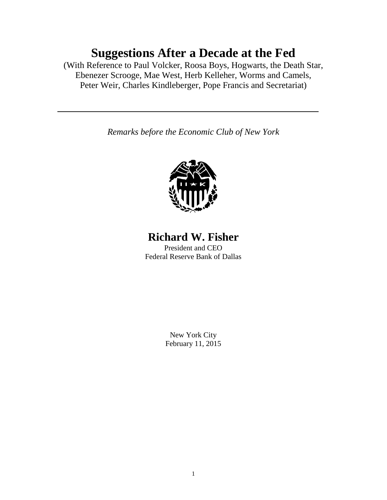# **Suggestions After a Decade at the Fed**

(With Reference to Paul Volcker, Roosa Boys, Hogwarts, the Death Star, Ebenezer Scrooge, Mae West, Herb Kelleher, Worms and Camels, Peter Weir, Charles Kindleberger, Pope Francis and Secretariat)

*Remarks before the Economic Club of New York*



# **Richard W. Fisher**

President and CEO Federal Reserve Bank of Dallas

> New York City February 11, 2015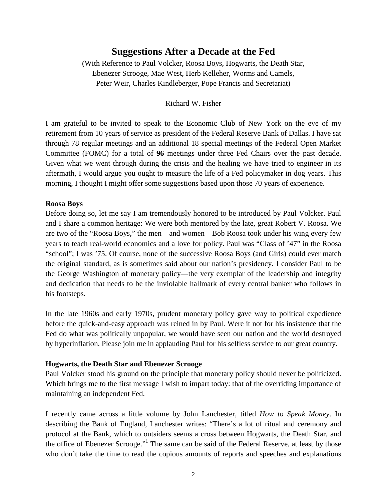# **Suggestions After a Decade at the Fed**

(With Reference to Paul Volcker, Roosa Boys, Hogwarts, the Death Star, Ebenezer Scrooge, Mae West, Herb Kelleher, Worms and Camels, Peter Weir, Charles Kindleberger, Pope Francis and Secretariat)

#### Richard W. Fisher

I am grateful to be invited to speak to the Economic Club of New York on the eve of my retirement from 10 years of service as president of the Federal Reserve Bank of Dallas. I have sat through 78 regular meetings and an additional 18 special meetings of the Federal Open Market Committee (FOMC) for a total of **96** meetings under three Fed Chairs over the past decade. Given what we went through during the crisis and the healing we have tried to engineer in its aftermath, I would argue you ought to measure the life of a Fed policymaker in dog years. This morning, I thought I might offer some suggestions based upon those 70 years of experience.

#### **Roosa Boys**

Before doing so, let me say I am tremendously honored to be introduced by Paul Volcker. Paul and I share a common heritage: We were both mentored by the late, great Robert V. Roosa. We are two of the "Roosa Boys," the men—and women—Bob Roosa took under his wing every few years to teach real-world economics and a love for policy. Paul was "Class of '47" in the Roosa "school"; I was '75. Of course, none of the successive Roosa Boys (and Girls) could ever match the original standard, as is sometimes said about our nation's presidency. I consider Paul to be the George Washington of monetary policy—the very exemplar of the leadership and integrity and dedication that needs to be the inviolable hallmark of every central banker who follows in his footsteps.

In the late 1960s and early 1970s, prudent monetary policy gave way to political expedience before the quick-and-easy approach was reined in by Paul. Were it not for his insistence that the Fed do what was politically unpopular, we would have seen our nation and the world destroyed by hyperinflation. Please join me in applauding Paul for his selfless service to our great country.

#### **Hogwarts, the Death Star and Ebenezer Scrooge**

Paul Volcker stood his ground on the principle that monetary policy should never be politicized. Which brings me to the first message I wish to impart today: that of the overriding importance of maintaining an independent Fed.

I recently came across a little volume by John Lanchester, titled *How to Speak Money*. In describing the Bank of England, Lanchester writes: "There's a lot of ritual and ceremony and protocol at the Bank, which to outsiders seems a cross between Hogwarts, the Death Star, and the office of Ebenezer Scrooge."1 The same can be said of the Federal Reserve, at least by those who don't take the time to read the copious amounts of reports and speeches and explanations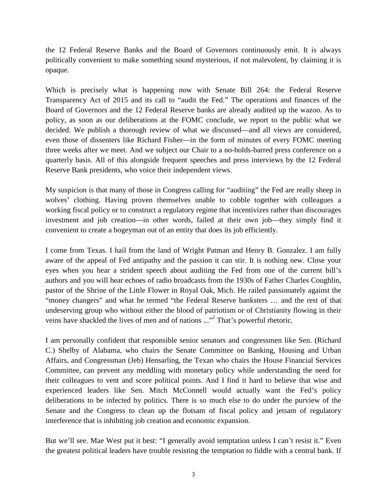the 12 Federal Reserve Banks and the Board of Governors continuously emit. It is always politically convenient to make something sound mysterious, if not malevolent, by claiming it is opaque.

Which is precisely what is happening now with Senate Bill 264: the Federal Reserve Transparency Act of 2015 and its call to "audit the Fed." The operations and finances of the Board of Governors and the 12 Federal Reserve banks are already audited up the wazoo. As to policy, as soon as our deliberations at the FOMC conclude, we report to the public what we decided. We publish a thorough review of what we discussed—and all views are considered, even those of dissenters like Richard Fisher—in the form of minutes of every FOMC meeting three weeks after we meet. And we subject our Chair to a no-holds-barred press conference on a quarterly basis. All of this alongside frequent speeches and press interviews by the 12 Federal Reserve Bank presidents, who voice their independent views.

My suspicion is that many of those in Congress calling for "auditing" the Fed are really sheep in wolves' clothing. Having proven themselves unable to cobble together with colleagues a working fiscal policy or to construct a regulatory regime that incentivizes rather than discourages investment and job creation—in other words, failed at their own job—they simply find it convenient to create a bogeyman out of an entity that does its job efficiently.

I come from Texas. I hail from the land of Wright Patman and Henry B. Gonzalez. I am fully aware of the appeal of Fed antipathy and the passion it can stir. It is nothing new. Close your eyes when you hear a strident speech about auditing the Fed from one of the current bill's authors and you will hear echoes of radio broadcasts from the 1930s of Father Charles Coughlin, pastor of the Shrine of the Little Flower in Royal Oak, Mich. He railed passionately against the "money changers" and what he termed "the Federal Reserve banksters … and the rest of that undeserving group who without either the blood of patriotism or of Christianity flowing in their veins have shackled the lives of men and of nations ..."<sup>2</sup> That's powerful rhetoric.

I am personally confident that responsible senior senators and congressmen like Sen. (Richard C.) Shelby of Alabama, who chairs the Senate Committee on Banking, Housing and Urban Affairs, and Congressman (Jeb) Hensarling, the Texan who chairs the House Financial Services Committee, can prevent any meddling with monetary policy while understanding the need for their colleagues to vent and score political points. And I find it hard to believe that wise and experienced leaders like Sen. Mitch McConnell would actually want the Fed's policy deliberations to be infected by politics. There is so much else to do under the purview of the Senate and the Congress to clean up the flotsam of fiscal policy and jetsam of regulatory interference that is inhibiting job creation and economic expansion.

But we'll see. Mae West put it best: "I generally avoid temptation unless I can't resist it." Even the greatest political leaders have trouble resisting the temptation to fiddle with a central bank. If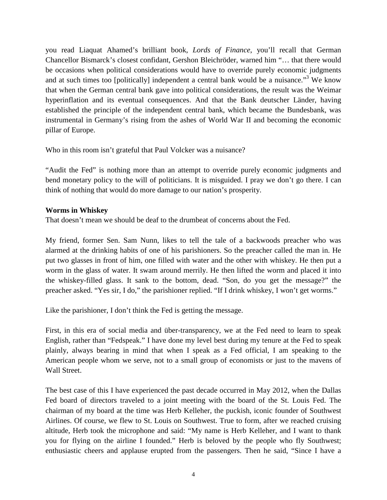you read Liaquat Ahamed's brilliant book, *Lords of Finance*, you'll recall that German Chancellor Bismarck's closest confidant, Gershon Bleichröder, warned him "… that there would be occasions when political considerations would have to override purely economic judgments and at such times too [politically] independent a central bank would be a nuisance."<sup>3</sup> We know that when the German central bank gave into political considerations, the result was the Weimar hyperinflation and its eventual consequences. And that the Bank deutscher Länder, having established the principle of the independent central bank, which became the Bundesbank, was instrumental in Germany's rising from the ashes of World War II and becoming the economic pillar of Europe.

Who in this room isn't grateful that Paul Volcker was a nuisance?

"Audit the Fed" is nothing more than an attempt to override purely economic judgments and bend monetary policy to the will of politicians. It is misguided. I pray we don't go there. I can think of nothing that would do more damage to our nation's prosperity.

#### **Worms in Whiskey**

That doesn't mean we should be deaf to the drumbeat of concerns about the Fed.

My friend, former Sen. Sam Nunn, likes to tell the tale of a backwoods preacher who was alarmed at the drinking habits of one of his parishioners. So the preacher called the man in. He put two glasses in front of him, one filled with water and the other with whiskey. He then put a worm in the glass of water. It swam around merrily. He then lifted the worm and placed it into the whiskey-filled glass. It sank to the bottom, dead. "Son, do you get the message?" the preacher asked. "Yes sir, I do," the parishioner replied. "If I drink whiskey, I won't get worms."

Like the parishioner, I don't think the Fed is getting the message.

First, in this era of social media and über-transparency, we at the Fed need to learn to speak English, rather than "Fedspeak." I have done my level best during my tenure at the Fed to speak plainly, always bearing in mind that when I speak as a Fed official, I am speaking to the American people whom we serve, not to a small group of economists or just to the mavens of Wall Street.

The best case of this I have experienced the past decade occurred in May 2012, when the Dallas Fed board of directors traveled to a joint meeting with the board of the St. Louis Fed. The chairman of my board at the time was Herb Kelleher, the puckish, iconic founder of Southwest Airlines. Of course, we flew to St. Louis on Southwest. True to form, after we reached cruising altitude, Herb took the microphone and said: "My name is Herb Kelleher, and I want to thank you for flying on the airline I founded." Herb is beloved by the people who fly Southwest; enthusiastic cheers and applause erupted from the passengers. Then he said, "Since I have a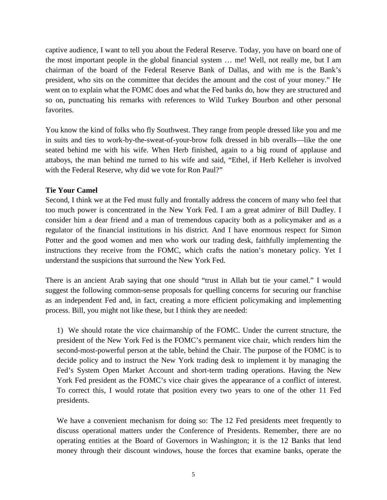captive audience, I want to tell you about the Federal Reserve. Today, you have on board one of the most important people in the global financial system … me! Well, not really me, but I am chairman of the board of the Federal Reserve Bank of Dallas, and with me is the Bank's president, who sits on the committee that decides the amount and the cost of your money." He went on to explain what the FOMC does and what the Fed banks do, how they are structured and so on, punctuating his remarks with references to Wild Turkey Bourbon and other personal favorites.

You know the kind of folks who fly Southwest. They range from people dressed like you and me in suits and ties to work-by-the-sweat-of-your-brow folk dressed in bib overalls—like the one seated behind me with his wife. When Herb finished, again to a big round of applause and attaboys, the man behind me turned to his wife and said, "Ethel, if Herb Kelleher is involved with the Federal Reserve, why did we vote for Ron Paul?"

## **Tie Your Camel**

Second, I think we at the Fed must fully and frontally address the concern of many who feel that too much power is concentrated in the New York Fed. I am a great admirer of Bill Dudley. I consider him a dear friend and a man of tremendous capacity both as a policymaker and as a regulator of the financial institutions in his district. And I have enormous respect for Simon Potter and the good women and men who work our trading desk, faithfully implementing the instructions they receive from the FOMC, which crafts the nation's monetary policy. Yet I understand the suspicions that surround the New York Fed.

There is an ancient Arab saying that one should "trust in Allah but tie your camel." I would suggest the following common-sense proposals for quelling concerns for securing our franchise as an independent Fed and, in fact, creating a more efficient policymaking and implementing process. Bill, you might not like these, but I think they are needed:

1) We should rotate the vice chairmanship of the FOMC. Under the current structure, the president of the New York Fed is the FOMC's permanent vice chair, which renders him the second-most-powerful person at the table, behind the Chair. The purpose of the FOMC is to decide policy and to instruct the New York trading desk to implement it by managing the Fed's System Open Market Account and short-term trading operations. Having the New York Fed president as the FOMC's vice chair gives the appearance of a conflict of interest. To correct this, I would rotate that position every two years to one of the other 11 Fed presidents.

We have a convenient mechanism for doing so: The 12 Fed presidents meet frequently to discuss operational matters under the Conference of Presidents. Remember, there are no operating entities at the Board of Governors in Washington; it is the 12 Banks that lend money through their discount windows, house the forces that examine banks, operate the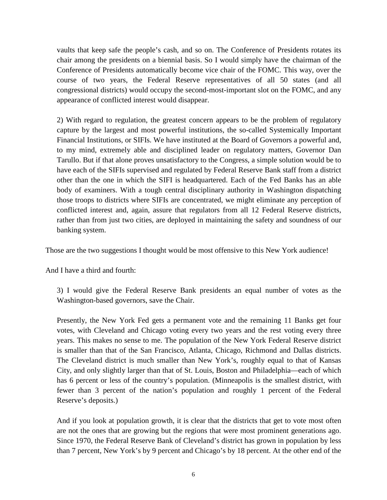vaults that keep safe the people's cash, and so on. The Conference of Presidents rotates its chair among the presidents on a biennial basis. So I would simply have the chairman of the Conference of Presidents automatically become vice chair of the FOMC. This way, over the course of two years, the Federal Reserve representatives of all 50 states (and all congressional districts) would occupy the second-most-important slot on the FOMC, and any appearance of conflicted interest would disappear.

2) With regard to regulation, the greatest concern appears to be the problem of regulatory capture by the largest and most powerful institutions, the so-called Systemically Important Financial Institutions, or SIFIs. We have instituted at the Board of Governors a powerful and, to my mind, extremely able and disciplined leader on regulatory matters, Governor Dan Tarullo. But if that alone proves unsatisfactory to the Congress, a simple solution would be to have each of the SIFIs supervised and regulated by Federal Reserve Bank staff from a district other than the one in which the SIFI is headquartered. Each of the Fed Banks has an able body of examiners. With a tough central disciplinary authority in Washington dispatching those troops to districts where SIFIs are concentrated, we might eliminate any perception of conflicted interest and, again, assure that regulators from all 12 Federal Reserve districts, rather than from just two cities, are deployed in maintaining the safety and soundness of our banking system.

Those are the two suggestions I thought would be most offensive to this New York audience!

And I have a third and fourth:

3) I would give the Federal Reserve Bank presidents an equal number of votes as the Washington-based governors, save the Chair.

Presently, the New York Fed gets a permanent vote and the remaining 11 Banks get four votes, with Cleveland and Chicago voting every two years and the rest voting every three years. This makes no sense to me. The population of the New York Federal Reserve district is smaller than that of the San Francisco, Atlanta, Chicago, Richmond and Dallas districts. The Cleveland district is much smaller than New York's, roughly equal to that of Kansas City, and only slightly larger than that of St. Louis, Boston and Philadelphia—each of which has 6 percent or less of the country's population. (Minneapolis is the smallest district, with fewer than 3 percent of the nation's population and roughly 1 percent of the Federal Reserve's deposits.)

And if you look at population growth, it is clear that the districts that get to vote most often are not the ones that are growing but the regions that were most prominent generations ago. Since 1970, the Federal Reserve Bank of Cleveland's district has grown in population by less than 7 percent, New York's by 9 percent and Chicago's by 18 percent. At the other end of the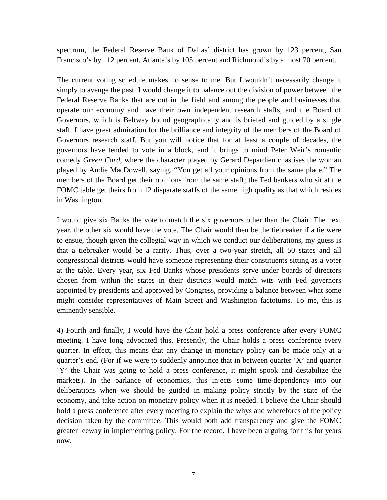spectrum, the Federal Reserve Bank of Dallas' district has grown by 123 percent, San Francisco's by 112 percent, Atlanta's by 105 percent and Richmond's by almost 70 percent.

The current voting schedule makes no sense to me. But I wouldn't necessarily change it simply to avenge the past. I would change it to balance out the division of power between the Federal Reserve Banks that are out in the field and among the people and businesses that operate our economy and have their own independent research staffs, and the Board of Governors, which is Beltway bound geographically and is briefed and guided by a single staff. I have great admiration for the brilliance and integrity of the members of the Board of Governors research staff. But you will notice that for at least a couple of decades, the governors have tended to vote in a block, and it brings to mind Peter Weir's romantic comedy *Green Card*, where the character played by Gerard Depardieu chastises the woman played by Andie MacDowell, saying, "You get all your opinions from the same place." The members of the Board get their opinions from the same staff; the Fed bankers who sit at the FOMC table get theirs from 12 disparate staffs of the same high quality as that which resides in Washington.

I would give six Banks the vote to match the six governors other than the Chair. The next year, the other six would have the vote. The Chair would then be the tiebreaker if a tie were to ensue, though given the collegial way in which we conduct our deliberations, my guess is that a tiebreaker would be a rarity. Thus, over a two-year stretch, all 50 states and all congressional districts would have someone representing their constituents sitting as a voter at the table. Every year, six Fed Banks whose presidents serve under boards of directors chosen from within the states in their districts would match wits with Fed governors appointed by presidents and approved by Congress, providing a balance between what some might consider representatives of Main Street and Washington factotums. To me, this is eminently sensible.

4) Fourth and finally, I would have the Chair hold a press conference after every FOMC meeting. I have long advocated this. Presently, the Chair holds a press conference every quarter. In effect, this means that any change in monetary policy can be made only at a quarter's end. (For if we were to suddenly announce that in between quarter 'X' and quarter 'Y' the Chair was going to hold a press conference, it might spook and destabilize the markets). In the parlance of economics, this injects some time-dependency into our deliberations when we should be guided in making policy strictly by the state of the economy, and take action on monetary policy when it is needed. I believe the Chair should hold a press conference after every meeting to explain the whys and wherefores of the policy decision taken by the committee. This would both add transparency and give the FOMC greater leeway in implementing policy. For the record, I have been arguing for this for years now.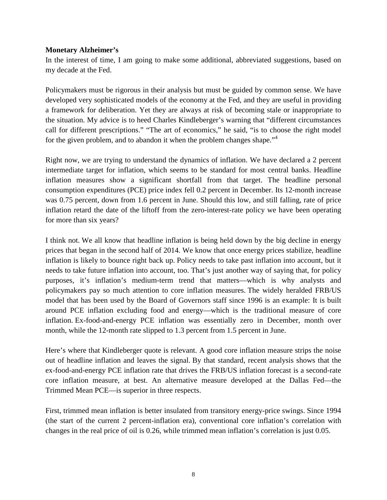#### **Monetary Alzheimer's**

In the interest of time, I am going to make some additional, abbreviated suggestions, based on my decade at the Fed.

Policymakers must be rigorous in their analysis but must be guided by common sense. We have developed very sophisticated models of the economy at the Fed, and they are useful in providing a framework for deliberation. Yet they are always at risk of becoming stale or inappropriate to the situation. My advice is to heed Charles Kindleberger's warning that "different circumstances call for different prescriptions." "The art of economics," he said, "is to choose the right model for the given problem, and to abandon it when the problem changes shape."<sup>4</sup>

Right now, we are trying to understand the dynamics of inflation. We have declared a 2 percent intermediate target for inflation, which seems to be standard for most central banks. Headline inflation measures show a significant shortfall from that target. The headline personal consumption expenditures (PCE) price index fell 0.2 percent in December. Its 12-month increase was 0.75 percent, down from 1.6 percent in June. Should this low, and still falling, rate of price inflation retard the date of the liftoff from the zero-interest-rate policy we have been operating for more than six years?

I think not. We all know that headline inflation is being held down by the big decline in energy prices that began in the second half of 2014. We know that once energy prices stabilize, headline inflation is likely to bounce right back up. Policy needs to take past inflation into account, but it needs to take future inflation into account, too. That's just another way of saying that, for policy purposes, it's inflation's medium-term trend that matters—which is why analysts and policymakers pay so much attention to core inflation measures. The widely heralded FRB/US model that has been used by the Board of Governors staff since 1996 is an example: It is built around PCE inflation excluding food and energy—which is the traditional measure of core inflation. Ex-food-and-energy PCE inflation was essentially zero in December, month over month, while the 12-month rate slipped to 1.3 percent from 1.5 percent in June.

Here's where that Kindleberger quote is relevant. A good core inflation measure strips the noise out of headline inflation and leaves the signal. By that standard, recent analysis shows that the ex-food-and-energy PCE inflation rate that drives the FRB/US inflation forecast is a second-rate core inflation measure, at best. An alternative measure developed at the Dallas Fed—the Trimmed Mean PCE—is superior in three respects.

First, trimmed mean inflation is better insulated from transitory energy-price swings. Since 1994 (the start of the current 2 percent-inflation era), conventional core inflation's correlation with changes in the real price of oil is 0.26, while trimmed mean inflation's correlation is just 0.05.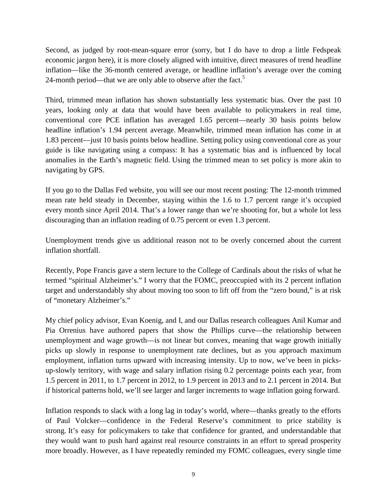Second, as judged by root-mean-square error (sorry, but I do have to drop a little Fedspeak economic jargon here), it is more closely aligned with intuitive, direct measures of trend headline inflation—like the 36-month centered average, or headline inflation's average over the coming 24-month period—that we are only able to observe after the fact.<sup>5</sup>

Third, trimmed mean inflation has shown substantially less systematic bias. Over the past 10 years, looking only at data that would have been available to policymakers in real time, conventional core PCE inflation has averaged 1.65 percent—nearly 30 basis points below headline inflation's 1.94 percent average. Meanwhile, trimmed mean inflation has come in at 1.83 percent—just 10 basis points below headline. Setting policy using conventional core as your guide is like navigating using a compass: It has a systematic bias and is influenced by local anomalies in the Earth's magnetic field. Using the trimmed mean to set policy is more akin to navigating by GPS.

If you go to the Dallas Fed website, you will see our most recent posting: The 12-month trimmed mean rate held steady in December, staying within the 1.6 to 1.7 percent range it's occupied every month since April 2014. That's a lower range than we're shooting for, but a whole lot less discouraging than an inflation reading of 0.75 percent or even 1.3 percent.

Unemployment trends give us additional reason not to be overly concerned about the current inflation shortfall.

Recently, Pope Francis gave a stern lecture to the College of Cardinals about the risks of what he termed "spiritual Alzheimer's." I worry that the FOMC, preoccupied with its 2 percent inflation target and understandably shy about moving too soon to lift off from the "zero bound," is at risk of "monetary Alzheimer's."

My chief policy advisor, Evan Koenig, and I, and our Dallas research colleagues Anil Kumar and Pia Orrenius have authored papers that show the Phillips curve—the relationship between unemployment and wage growth—is not linear but convex, meaning that wage growth initially picks up slowly in response to unemployment rate declines, but as you approach maximum employment, inflation turns upward with increasing intensity. Up to now, we've been in picksup-slowly territory, with wage and salary inflation rising 0.2 percentage points each year, from 1.5 percent in 2011, to 1.7 percent in 2012, to 1.9 percent in 2013 and to 2.1 percent in 2014. But if historical patterns hold, we'll see larger and larger increments to wage inflation going forward.

Inflation responds to slack with a long lag in today's world, where—thanks greatly to the efforts of Paul Volcker—confidence in the Federal Reserve's commitment to price stability is strong. It's easy for policymakers to take that confidence for granted, and understandable that they would want to push hard against real resource constraints in an effort to spread prosperity more broadly. However, as I have repeatedly reminded my FOMC colleagues, every single time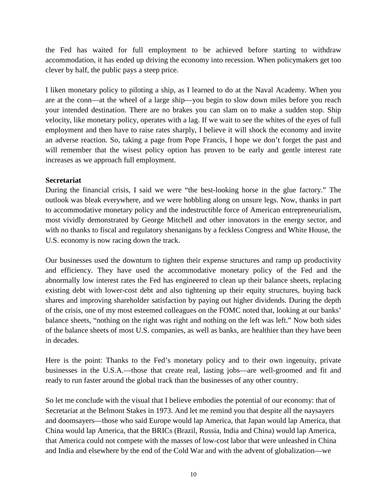the Fed has waited for full employment to be achieved before starting to withdraw accommodation, it has ended up driving the economy into recession. When policymakers get too clever by half, the public pays a steep price.

I liken monetary policy to piloting a ship, as I learned to do at the Naval Academy. When you are at the conn—at the wheel of a large ship—you begin to slow down miles before you reach your intended destination. There are no brakes you can slam on to make a sudden stop. Ship velocity, like monetary policy, operates with a lag. If we wait to see the whites of the eyes of full employment and then have to raise rates sharply, I believe it will shock the economy and invite an adverse reaction. So, taking a page from Pope Francis, I hope we don't forget the past and will remember that the wisest policy option has proven to be early and gentle interest rate increases as we approach full employment.

### **Secretariat**

During the financial crisis, I said we were "the best-looking horse in the glue factory." The outlook was bleak everywhere, and we were hobbling along on unsure legs. Now, thanks in part to accommodative monetary policy and the indestructible force of American entrepreneurialism, most vividly demonstrated by George Mitchell and other innovators in the energy sector, and with no thanks to fiscal and regulatory shenanigans by a feckless Congress and White House, the U.S. economy is now racing down the track.

Our businesses used the downturn to tighten their expense structures and ramp up productivity and efficiency. They have used the accommodative monetary policy of the Fed and the abnormally low interest rates the Fed has engineered to clean up their balance sheets, replacing existing debt with lower-cost debt and also tightening up their equity structures, buying back shares and improving shareholder satisfaction by paying out higher dividends. During the depth of the crisis, one of my most esteemed colleagues on the FOMC noted that, looking at our banks' balance sheets, "nothing on the right was right and nothing on the left was left." Now both sides of the balance sheets of most U.S. companies, as well as banks, are healthier than they have been in decades.

Here is the point: Thanks to the Fed's monetary policy and to their own ingenuity, private businesses in the U.S.A.—those that create real, lasting jobs—are well-groomed and fit and ready to run faster around the global track than the businesses of any other country.

So let me conclude with the visual that I believe embodies the potential of our economy: that of Secretariat at the Belmont Stakes in 1973. And let me remind you that despite all the naysayers and doomsayers—those who said Europe would lap America, that Japan would lap America, that China would lap America, that the BRICs (Brazil, Russia, India and China) would lap America, that America could not compete with the masses of low-cost labor that were unleashed in China and India and elsewhere by the end of the Cold War and with the advent of globalization—we